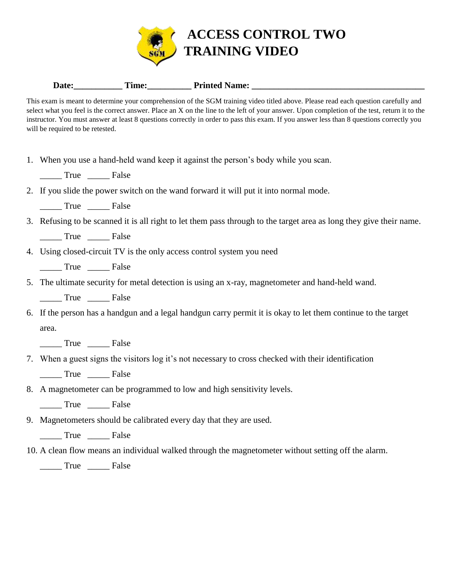

## Date: <u>Time:</u> Printed Name:

This exam is meant to determine your comprehension of the SGM training video titled above. Please read each question carefully and select what you feel is the correct answer. Place an X on the line to the left of your answer. Upon completion of the test, return it to the instructor. You must answer at least 8 questions correctly in order to pass this exam. If you answer less than 8 questions correctly you will be required to be retested.

1. When you use a hand-held wand keep it against the person's body while you scan.

\_\_\_\_\_ True \_\_\_\_\_ False

## 2. If you slide the power switch on the wand forward it will put it into normal mode.

\_\_\_\_\_ True \_\_\_\_\_ False

3. Refusing to be scanned it is all right to let them pass through to the target area as long they give their name.

True False

4. Using closed-circuit TV is the only access control system you need

\_\_\_\_\_ True \_\_\_\_\_ False

5. The ultimate security for metal detection is using an x-ray, magnetometer and hand-held wand.

True False

6. If the person has a handgun and a legal handgun carry permit it is okay to let them continue to the target area.

\_\_\_\_\_ True \_\_\_\_\_ False

7. When a guest signs the visitors log it's not necessary to cross checked with their identification

\_\_\_\_\_ True \_\_\_\_\_ False

8. A magnetometer can be programmed to low and high sensitivity levels.

\_\_\_\_\_ True \_\_\_\_\_ False

9. Magnetometers should be calibrated every day that they are used.

\_\_\_\_\_ True \_\_\_\_\_ False

10. A clean flow means an individual walked through the magnetometer without setting off the alarm.

\_\_\_\_\_ True \_\_\_\_\_ False